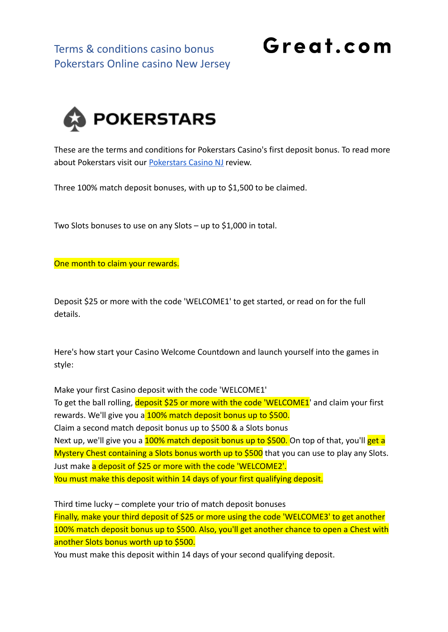Terms & conditions casino bonus Pokerstars Online casino New Jersey

## Great.com



These are the terms and conditions for Pokerstars Casino's first deposit bonus. To read more about Pokerstars visit our [Pokerstars Casino NJ](https://great.com/en-us/online-casino/pokerstars-nj-online-casino-nj/) review.

Three 100% match deposit bonuses, with up to \$1,500 to be claimed.

Two Slots bonuses to use on any Slots – up to \$1,000 in total.

One month to claim your rewards.

Deposit \$25 or more with the code 'WELCOME1' to get started, or read on for the full details.

Here's how start your Casino Welcome Countdown and launch yourself into the games in style:

Make your first Casino deposit with the code 'WELCOME1' To get the ball rolling, deposit \$25 or more with the code 'WELCOME1' and claim your first rewards. We'll give you a 100% match deposit bonus up to \$500. Claim a second match deposit bonus up to \$500 & a Slots bonus Next up, we'll give you a 100% match deposit bonus up to \$500. On top of that, you'll get a Mystery Chest containing a Slots bonus worth up to \$500 that you can use to play any Slots. Just make a deposit of \$25 or more with the code 'WELCOME2'. You must make this deposit within 14 days of your first qualifying deposit.

Third time lucky – complete your trio of match deposit bonuses Finally, make your third deposit of \$25 or more using the code 'WELCOME3' to get another 100% match deposit bonus up to \$500. Also, you'll get another chance to open a Chest with another Slots bonus worth up to \$500.

You must make this deposit within 14 days of your second qualifying deposit.